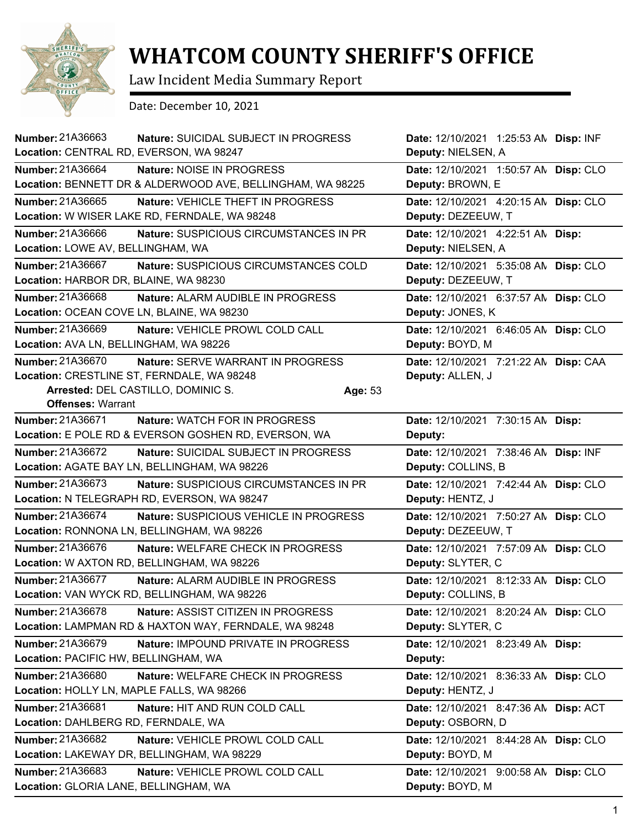

## **WHATCOM COUNTY SHERIFF'S OFFICE**

Law Incident Media Summary Report

Date: December 10, 2021

| <b>Number: 21A36663</b><br>Location: CENTRAL RD, EVERSON, WA 98247 | <b>Nature: SUICIDAL SUBJECT IN PROGRESS</b>                                                  |         | Date: 12/10/2021 1:25:53 AN Disp: INF<br>Deputy: NIELSEN, A |           |
|--------------------------------------------------------------------|----------------------------------------------------------------------------------------------|---------|-------------------------------------------------------------|-----------|
| Number: 21A36664                                                   | Nature: NOISE IN PROGRESS                                                                    |         | Date: 12/10/2021 1:50:57 AN Disp: CLO                       |           |
|                                                                    | Location: BENNETT DR & ALDERWOOD AVE, BELLINGHAM, WA 98225                                   |         | Deputy: BROWN, E                                            |           |
| Number: 21A36665                                                   | Nature: VEHICLE THEFT IN PROGRESS<br>Location: W WISER LAKE RD, FERNDALE, WA 98248           |         | Date: 12/10/2021 4:20:15 AN Disp: CLO<br>Deputy: DEZEEUW, T |           |
| Number: 21A36666<br>Location: LOWE AV, BELLINGHAM, WA              | Nature: SUSPICIOUS CIRCUMSTANCES IN PR                                                       |         | Date: 12/10/2021  4:22:51 AN  Disp:<br>Deputy: NIELSEN, A   |           |
| Number: 21A36667<br>Location: HARBOR DR, BLAINE, WA 98230          | Nature: SUSPICIOUS CIRCUMSTANCES COLD                                                        |         | Date: 12/10/2021 5:35:08 AM<br>Deputy: DEZEEUW, T           | Disp: CLO |
| Number: 21A36668<br>Location: OCEAN COVE LN, BLAINE, WA 98230      | Nature: ALARM AUDIBLE IN PROGRESS                                                            |         | Date: 12/10/2021 6:37:57 AN<br>Deputy: JONES, K             | Disp: CLO |
| Number: 21A36669<br>Location: AVA LN, BELLINGHAM, WA 98226         | Nature: VEHICLE PROWL COLD CALL                                                              |         | Date: 12/10/2021 6:46:05 AN Disp: CLO<br>Deputy: BOYD, M    |           |
| Number: 21A36670                                                   | Nature: SERVE WARRANT IN PROGRESS<br>Location: CRESTLINE ST, FERNDALE, WA 98248              |         | Date: 12/10/2021 7:21:22 AN Disp: CAA<br>Deputy: ALLEN, J   |           |
| <b>Offenses: Warrant</b>                                           | Arrested: DEL CASTILLO, DOMINIC S.                                                           | Age: 53 |                                                             |           |
| Number: 21A36671                                                   | <b>Nature: WATCH FOR IN PROGRESS</b><br>Location: E POLE RD & EVERSON GOSHEN RD, EVERSON, WA |         | Date: 12/10/2021 7:30:15 AN Disp:<br>Deputy:                |           |
| Number: 21A36672                                                   | Nature: SUICIDAL SUBJECT IN PROGRESS<br>Location: AGATE BAY LN, BELLINGHAM, WA 98226         |         | Date: 12/10/2021 7:38:46 AN Disp: INF<br>Deputy: COLLINS, B |           |
| Number: 21A36673                                                   | Nature: SUSPICIOUS CIRCUMSTANCES IN PR                                                       |         | Date: 12/10/2021 7:42:44 AN Disp: CLO                       |           |
|                                                                    | Location: N TELEGRAPH RD, EVERSON, WA 98247                                                  |         | Deputy: HENTZ, J                                            |           |
| Number: 21A36674                                                   | Nature: SUSPICIOUS VEHICLE IN PROGRESS<br>Location: RONNONA LN, BELLINGHAM, WA 98226         |         | Date: 12/10/2021 7:50:27 AM<br>Deputy: DEZEEUW, T           | Disp: CLO |
| Number: 21A36676                                                   | Nature: WELFARE CHECK IN PROGRESS<br>Location: W AXTON RD, BELLINGHAM, WA 98226              |         | Date: 12/10/2021 7:57:09 AN<br>Deputy: SLYTER, C            | Disp: CLO |
| Number: 21A36677                                                   | Nature: ALARM AUDIBLE IN PROGRESS<br>Location: VAN WYCK RD, BELLINGHAM, WA 98226             |         | Date: 12/10/2021 8:12:33 AM<br>Deputy: COLLINS, B           | Disp: CLO |
| Number: 21A36678                                                   | Nature: ASSIST CITIZEN IN PROGRESS<br>Location: LAMPMAN RD & HAXTON WAY, FERNDALE, WA 98248  |         | Date: 12/10/2021 8:20:24 AN Disp: CLO<br>Deputy: SLYTER, C  |           |
| Number: 21A36679<br>Location: PACIFIC HW, BELLINGHAM, WA           | Nature: IMPOUND PRIVATE IN PROGRESS                                                          |         | Date: 12/10/2021 8:23:49 AN Disp:<br>Deputy:                |           |
| Number: 21A36680<br>Location: HOLLY LN, MAPLE FALLS, WA 98266      | Nature: WELFARE CHECK IN PROGRESS                                                            |         | Date: 12/10/2021 8:36:33 AN Disp: CLO<br>Deputy: HENTZ, J   |           |
| Number: 21A36681<br>Location: DAHLBERG RD, FERNDALE, WA            | Nature: HIT AND RUN COLD CALL                                                                |         | Date: 12/10/2021 8:47:36 AN<br>Deputy: OSBORN, D            | Disp: ACT |
| Number: 21A36682                                                   | Nature: VEHICLE PROWL COLD CALL<br>Location: LAKEWAY DR, BELLINGHAM, WA 98229                |         | Date: 12/10/2021 8:44:28 AM<br>Deputy: BOYD, M              | Disp: CLO |
| Number: 21A36683<br>Location: GLORIA LANE, BELLINGHAM, WA          | Nature: VEHICLE PROWL COLD CALL                                                              |         | Date: 12/10/2021 9:00:58 AN Disp: CLO<br>Deputy: BOYD, M    |           |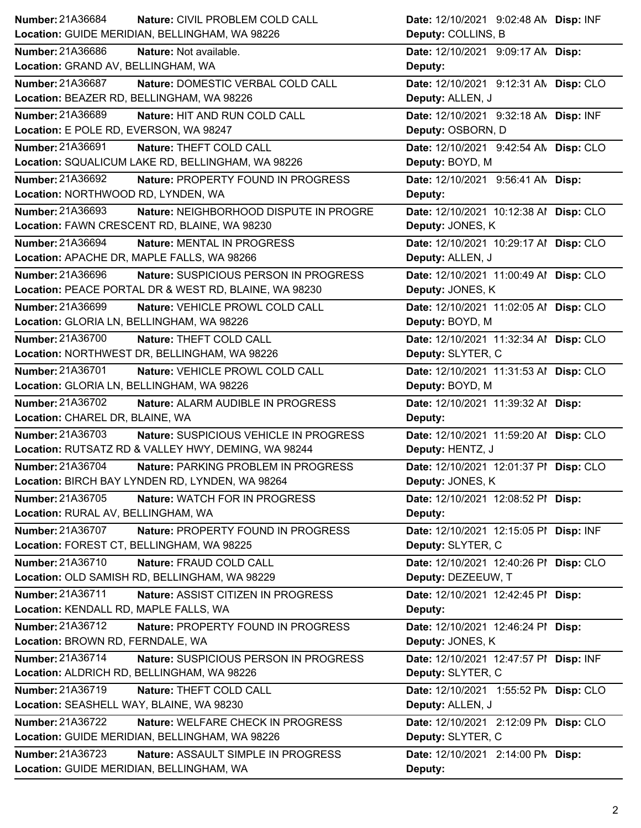| Number: 21A36684<br>Nature: CIVIL PROBLEM COLD CALL                                                | Date: 12/10/2021 9:02:48 AN Disp: INF                       |
|----------------------------------------------------------------------------------------------------|-------------------------------------------------------------|
| Location: GUIDE MERIDIAN, BELLINGHAM, WA 98226                                                     | Deputy: COLLINS, B                                          |
| <b>Number: 21A36686</b><br>Nature: Not available.                                                  | Date: 12/10/2021 9:09:17 AN Disp:                           |
| Location: GRAND AV, BELLINGHAM, WA                                                                 | Deputy:                                                     |
| Number: 21A36687<br>Nature: DOMESTIC VERBAL COLD CALL                                              | Date: 12/10/2021 9:12:31 AN Disp: CLO                       |
| Location: BEAZER RD, BELLINGHAM, WA 98226                                                          | Deputy: ALLEN, J                                            |
| <b>Number: 21A36689</b><br>Nature: HIT AND RUN COLD CALL                                           | Date: 12/10/2021 9:32:18 AN Disp: INF                       |
| Location: E POLE RD, EVERSON, WA 98247                                                             | Deputy: OSBORN, D                                           |
| Number: 21A36691<br>Nature: THEFT COLD CALL                                                        | Date: 12/10/2021 9:42:54 AN Disp: CLO                       |
| Location: SQUALICUM LAKE RD, BELLINGHAM, WA 98226                                                  | Deputy: BOYD, M                                             |
| <b>Number: 21A36692</b><br>Nature: PROPERTY FOUND IN PROGRESS                                      | Date: 12/10/2021 9:56:41 AN Disp:                           |
| Location: NORTHWOOD RD, LYNDEN, WA                                                                 | Deputy:                                                     |
| <b>Number: 21A36693</b><br>Nature: NEIGHBORHOOD DISPUTE IN PROGRE                                  | Date: 12/10/2021 10:12:38 Al Disp: CLO                      |
| Location: FAWN CRESCENT RD, BLAINE, WA 98230                                                       | Deputy: JONES, K                                            |
| Number: 21A36694<br>Nature: MENTAL IN PROGRESS                                                     | Date: 12/10/2021 10:29:17 Al Disp: CLO                      |
| Location: APACHE DR, MAPLE FALLS, WA 98266                                                         | Deputy: ALLEN, J                                            |
|                                                                                                    |                                                             |
| Number: 21A36696<br>Nature: SUSPICIOUS PERSON IN PROGRESS                                          | Date: 12/10/2021 11:00:49 Al Disp: CLO                      |
| Location: PEACE PORTAL DR & WEST RD, BLAINE, WA 98230                                              | Deputy: JONES, K                                            |
| Number: 21A36699<br>Nature: VEHICLE PROWL COLD CALL                                                | Date: 12/10/2021 11:02:05 Al Disp: CLO                      |
| Location: GLORIA LN, BELLINGHAM, WA 98226                                                          | Deputy: BOYD, M                                             |
| Number: 21A36700<br>Nature: THEFT COLD CALL                                                        | Date: 12/10/2021 11:32:34 Al Disp: CLO                      |
| Location: NORTHWEST DR, BELLINGHAM, WA 98226                                                       | Deputy: SLYTER, C                                           |
| Number: 21A36701<br>Nature: VEHICLE PROWL COLD CALL                                                | Date: 12/10/2021 11:31:53 Al Disp: CLO                      |
| Location: GLORIA LN, BELLINGHAM, WA 98226                                                          | Deputy: BOYD, M                                             |
|                                                                                                    |                                                             |
| Number: 21A36702<br>Nature: ALARM AUDIBLE IN PROGRESS                                              | Date: 12/10/2021 11:39:32 Al Disp:                          |
| Location: CHAREL DR, BLAINE, WA                                                                    | Deputy:                                                     |
| Number: 21A36703<br>Nature: SUSPICIOUS VEHICLE IN PROGRESS                                         | Date: 12/10/2021 11:59:20 Al Disp: CLO                      |
| Location: RUTSATZ RD & VALLEY HWY, DEMING, WA 98244                                                | Deputy: HENTZ, J                                            |
| Number: 21A36704<br>Nature: PARKING PROBLEM IN PROGRESS                                            | Date: 12/10/2021 12:01:37 PI Disp: CLO                      |
| Location: BIRCH BAY LYNDEN RD, LYNDEN, WA 98264                                                    | Deputy: JONES, K                                            |
| Number: 21A36705<br><b>Nature: WATCH FOR IN PROGRESS</b>                                           | Date: 12/10/2021 12:08:52 PI Disp:                          |
| Location: RURAL AV, BELLINGHAM, WA                                                                 | Deputy:                                                     |
| Number: 21A36707<br>Nature: PROPERTY FOUND IN PROGRESS                                             |                                                             |
| Location: FOREST CT, BELLINGHAM, WA 98225                                                          | Date: 12/10/2021 12:15:05 PI Disp: INF<br>Deputy: SLYTER, C |
| Number: 21A36710                                                                                   |                                                             |
| Nature: FRAUD COLD CALL<br>Location: OLD SAMISH RD, BELLINGHAM, WA 98229                           | Date: 12/10/2021 12:40:26 PI Disp: CLO                      |
|                                                                                                    | Deputy: DEZEEUW, T                                          |
| Number: 21A36711<br>Nature: ASSIST CITIZEN IN PROGRESS                                             | Date: 12/10/2021 12:42:45 PI Disp:                          |
| Location: KENDALL RD, MAPLE FALLS, WA                                                              | Deputy:                                                     |
| Number: 21A36712<br>Nature: PROPERTY FOUND IN PROGRESS                                             | Date: 12/10/2021 12:46:24 PI Disp:                          |
| Location: BROWN RD, FERNDALE, WA                                                                   | Deputy: JONES, K                                            |
| Number: 21A36714<br>Nature: SUSPICIOUS PERSON IN PROGRESS                                          | Date: 12/10/2021 12:47:57 PI Disp: INF                      |
| Location: ALDRICH RD, BELLINGHAM, WA 98226                                                         | Deputy: SLYTER, C                                           |
| Number: 21A36719<br>Nature: THEFT COLD CALL                                                        | Date: 12/10/2021 1:55:52 PM Disp: CLO                       |
| Location: SEASHELL WAY, BLAINE, WA 98230                                                           | Deputy: ALLEN, J                                            |
| Number: 21A36722<br>Nature: WELFARE CHECK IN PROGRESS                                              | Date: 12/10/2021 2:12:09 PM Disp: CLO                       |
| Location: GUIDE MERIDIAN, BELLINGHAM, WA 98226                                                     | Deputy: SLYTER, C                                           |
| Number: 21A36723<br>Nature: ASSAULT SIMPLE IN PROGRESS<br>Location: GUIDE MERIDIAN, BELLINGHAM, WA | Date: 12/10/2021 2:14:00 PM Disp:<br>Deputy:                |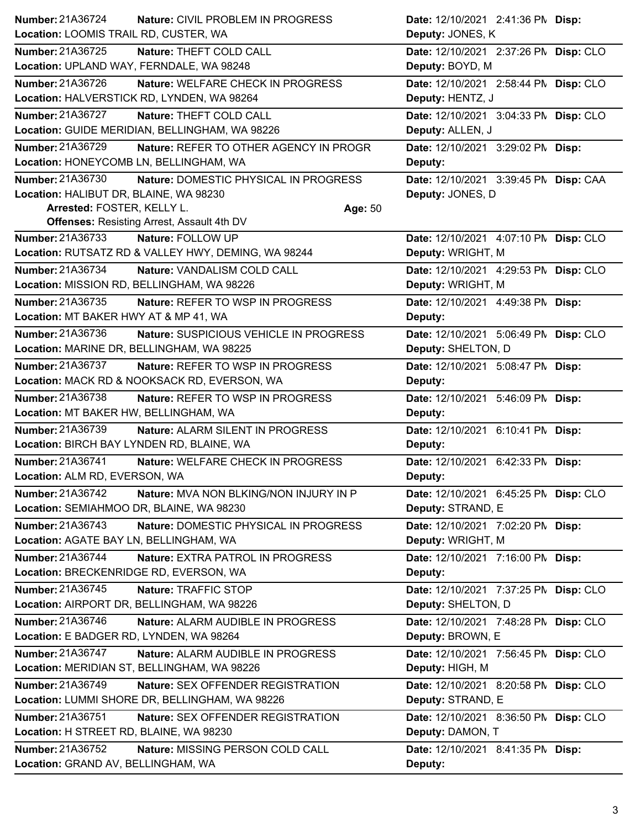| Number: 21A36724                           | <b>Nature: CIVIL PROBLEM IN PROGRESS</b>            | Date: 12/10/2021 2:41:36 PM Disp:     |  |
|--------------------------------------------|-----------------------------------------------------|---------------------------------------|--|
| Location: LOOMIS TRAIL RD, CUSTER, WA      |                                                     | Deputy: JONES, K                      |  |
| Number: 21A36725                           | Nature: THEFT COLD CALL                             | Date: 12/10/2021 2:37:26 PN Disp: CLO |  |
| Location: UPLAND WAY, FERNDALE, WA 98248   |                                                     | Deputy: BOYD, M                       |  |
| Number: 21A36726                           | Nature: WELFARE CHECK IN PROGRESS                   | Date: 12/10/2021 2:58:44 PN Disp: CLO |  |
|                                            | Location: HALVERSTICK RD, LYNDEN, WA 98264          | Deputy: HENTZ, J                      |  |
| <b>Number: 21A36727</b>                    | Nature: THEFT COLD CALL                             | Date: 12/10/2021 3:04:33 PN Disp: CLO |  |
|                                            | Location: GUIDE MERIDIAN, BELLINGHAM, WA 98226      | Deputy: ALLEN, J                      |  |
| Number: 21A36729                           | Nature: REFER TO OTHER AGENCY IN PROGR              | Date: 12/10/2021 3:29:02 PM Disp:     |  |
| Location: HONEYCOMB LN, BELLINGHAM, WA     |                                                     | Deputy:                               |  |
| Number: 21A36730                           | Nature: DOMESTIC PHYSICAL IN PROGRESS               | Date: 12/10/2021 3:39:45 PM Disp: CAA |  |
| Location: HALIBUT DR, BLAINE, WA 98230     |                                                     | Deputy: JONES, D                      |  |
| Arrested: FOSTER, KELLY L.                 |                                                     | Age: 50                               |  |
|                                            | <b>Offenses: Resisting Arrest, Assault 4th DV</b>   |                                       |  |
| Number: 21A36733                           | Nature: FOLLOW UP                                   | Date: 12/10/2021 4:07:10 PM Disp: CLO |  |
|                                            | Location: RUTSATZ RD & VALLEY HWY, DEMING, WA 98244 | Deputy: WRIGHT, M                     |  |
| Number: 21A36734                           | Nature: VANDALISM COLD CALL                         | Date: 12/10/2021 4:29:53 PM Disp: CLO |  |
| Location: MISSION RD, BELLINGHAM, WA 98226 |                                                     | Deputy: WRIGHT, M                     |  |
| <b>Number: 21A36735</b>                    | Nature: REFER TO WSP IN PROGRESS                    | Date: 12/10/2021 4:49:38 PM Disp:     |  |
| Location: MT BAKER HWY AT & MP 41, WA      |                                                     | Deputy:                               |  |
| Number: 21A36736                           | Nature: SUSPICIOUS VEHICLE IN PROGRESS              | Date: 12/10/2021 5:06:49 PN Disp: CLO |  |
| Location: MARINE DR, BELLINGHAM, WA 98225  |                                                     | Deputy: SHELTON, D                    |  |
| <b>Number: 21A36737</b>                    | Nature: REFER TO WSP IN PROGRESS                    | Date: 12/10/2021 5:08:47 PM Disp:     |  |
|                                            | Location: MACK RD & NOOKSACK RD, EVERSON, WA        | Deputy:                               |  |
| Number: 21A36738                           | Nature: REFER TO WSP IN PROGRESS                    | Date: 12/10/2021 5:46:09 PM Disp:     |  |
|                                            |                                                     |                                       |  |
| Location: MT BAKER HW, BELLINGHAM, WA      |                                                     | Deputy:                               |  |
| Number: 21A36739                           | Nature: ALARM SILENT IN PROGRESS                    | Date: 12/10/2021 6:10:41 PM Disp:     |  |
| Location: BIRCH BAY LYNDEN RD, BLAINE, WA  |                                                     | Deputy:                               |  |
| Number: 21A36741                           | Nature: WELFARE CHECK IN PROGRESS                   | Date: 12/10/2021 6:42:33 PM Disp:     |  |
| Location: ALM RD, EVERSON, WA              |                                                     | Deputy:                               |  |
| Number: 21A36742                           | Nature: MVA NON BLKING/NON INJURY IN P              | Date: 12/10/2021 6:45:25 PN Disp: CLO |  |
| Location: SEMIAHMOO DR, BLAINE, WA 98230   |                                                     | Deputy: STRAND, E                     |  |
| Number: 21A36743                           | Nature: DOMESTIC PHYSICAL IN PROGRESS               | Date: 12/10/2021 7:02:20 PM Disp:     |  |
| Location: AGATE BAY LN, BELLINGHAM, WA     |                                                     | Deputy: WRIGHT, M                     |  |
| Number: 21A36744                           | <b>Nature: EXTRA PATROL IN PROGRESS</b>             | Date: 12/10/2021 7:16:00 PM Disp:     |  |
| Location: BRECKENRIDGE RD, EVERSON, WA     |                                                     | Deputy:                               |  |
| Number: 21A36745                           | Nature: TRAFFIC STOP                                | Date: 12/10/2021 7:37:25 PN Disp: CLO |  |
|                                            | Location: AIRPORT DR, BELLINGHAM, WA 98226          | Deputy: SHELTON, D                    |  |
| Number: 21A36746                           | Nature: ALARM AUDIBLE IN PROGRESS                   | Date: 12/10/2021 7:48:28 PN Disp: CLO |  |
| Location: E BADGER RD, LYNDEN, WA 98264    |                                                     | Deputy: BROWN, E                      |  |
| Number: 21A36747                           | Nature: ALARM AUDIBLE IN PROGRESS                   | Date: 12/10/2021 7:56:45 PM Disp: CLO |  |
|                                            | Location: MERIDIAN ST, BELLINGHAM, WA 98226         | Deputy: HIGH, M                       |  |
| Number: 21A36749                           | Nature: SEX OFFENDER REGISTRATION                   | Date: 12/10/2021 8:20:58 PN Disp: CLO |  |
|                                            | Location: LUMMI SHORE DR, BELLINGHAM, WA 98226      | Deputy: STRAND, E                     |  |
| Number: 21A36751                           | Nature: SEX OFFENDER REGISTRATION                   | Date: 12/10/2021 8:36:50 PN Disp: CLO |  |
| Location: H STREET RD, BLAINE, WA 98230    |                                                     | Deputy: DAMON, T                      |  |
| Number: 21A36752                           | Nature: MISSING PERSON COLD CALL                    | Date: 12/10/2021 8:41:35 PM Disp:     |  |